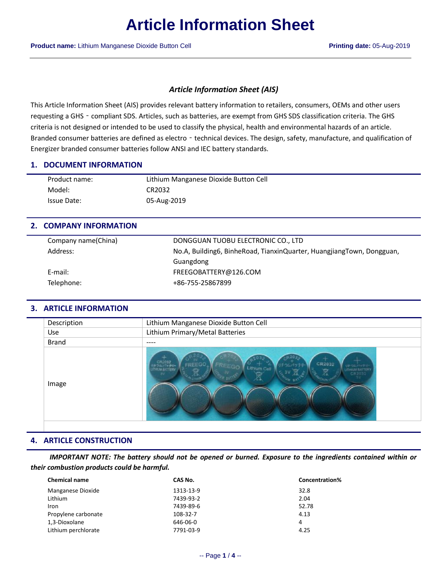## *Article Information Sheet (AIS)*

This Article Information Sheet (AIS) provides relevant battery information to retailers, consumers, OEMs and other users requesting a GHS - compliant SDS. Articles, such as batteries, are exempt from GHS SDS classification criteria. The GHS criteria is not designed or intended to be used to classify the physical, health and environmental hazards of an article. Branded consumer batteries are defined as electro - technical devices. The design, safety, manufacture, and qualification of Energizer branded consumer batteries follow ANSI and IEC battery standards.

### **1. DOCUMENT INFORMATION**

| Product name: | Lithium Manganese Dioxide Button Cell |
|---------------|---------------------------------------|
| Model:        | CR2032                                |
| Issue Date:   | 05-Aug-2019                           |

## **2. COMPANY INFORMATION**

| Company name(China) | DONGGUAN TUOBU ELECTRONIC CO., LTD                                    |
|---------------------|-----------------------------------------------------------------------|
| Address:            | No.A, Building6, BinheRoad, TianxinQuarter, HuangjiangTown, Dongguan, |
|                     | Guangdong                                                             |
| E-mail:             | FREEGOBATTERY@126.COM                                                 |
| Telephone:          | +86-755-25867899                                                      |
|                     |                                                                       |

## **3. ARTICLE INFORMATION**

| Description  | Lithium Manganese Dioxide Button Cell                                                                                |
|--------------|----------------------------------------------------------------------------------------------------------------------|
| <b>Use</b>   | Lithium Primary/Metal Batteries                                                                                      |
| <b>Brand</b> | ----                                                                                                                 |
| Image        | CR2032<br><b>CR2032</b><br>FREEGO<br>リチウムパッチ<br>Lithium Cell<br><b>ITHRUS RATTERY</b><br><b><i>DALIM BATTERY</i></b> |

## **4. ARTICLE CONSTRUCTION**

*IMPORTANT NOTE: The battery should not be opened or burned. Exposure to the ingredients contained within or their combustion products could be harmful.*

| <b>Chemical name</b> | CAS No.   | <b>Concentration%</b> |  |
|----------------------|-----------|-----------------------|--|
| Manganese Dioxide    | 1313-13-9 | 32.8                  |  |
| Lithium              | 7439-93-2 | 2.04                  |  |
| Iron                 | 7439-89-6 | 52.78                 |  |
| Propylene carbonate  | 108-32-7  | 4.13                  |  |
| 1,3-Dioxolane        | 646-06-0  | 4                     |  |
| Lithium perchlorate  | 7791-03-9 | 4.25                  |  |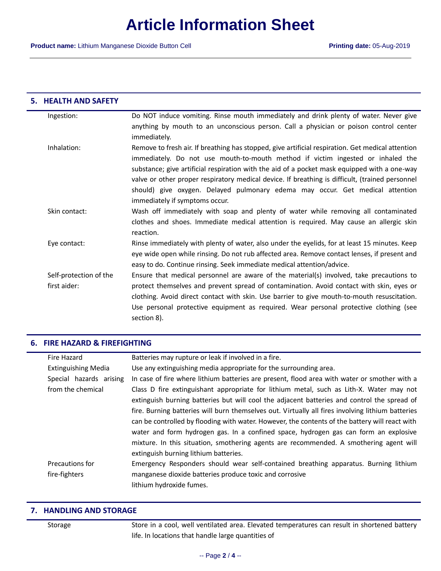#### **5. HEALTH AND SAFETY**

| Ingestion:             | Do NOT induce vomiting. Rinse mouth immediately and drink plenty of water. Never give             |
|------------------------|---------------------------------------------------------------------------------------------------|
|                        | anything by mouth to an unconscious person. Call a physician or poison control center             |
|                        | immediately.                                                                                      |
| Inhalation:            | Remove to fresh air. If breathing has stopped, give artificial respiration. Get medical attention |
|                        | immediately. Do not use mouth-to-mouth method if victim ingested or inhaled the                   |
|                        | substance; give artificial respiration with the aid of a pocket mask equipped with a one-way      |
|                        | valve or other proper respiratory medical device. If breathing is difficult, (trained personnel   |
|                        | should) give oxygen. Delayed pulmonary edema may occur. Get medical attention                     |
|                        | immediately if symptoms occur.                                                                    |
| Skin contact:          | Wash off immediately with soap and plenty of water while removing all contaminated                |
|                        | clothes and shoes. Immediate medical attention is required. May cause an allergic skin            |
|                        | reaction.                                                                                         |
| Eye contact:           | Rinse immediately with plenty of water, also under the eyelids, for at least 15 minutes. Keep     |
|                        | eye wide open while rinsing. Do not rub affected area. Remove contact lenses, if present and      |
|                        | easy to do. Continue rinsing. Seek immediate medical attention/advice.                            |
| Self-protection of the | Ensure that medical personnel are aware of the material(s) involved, take precautions to          |
| first aider:           | protect themselves and prevent spread of contamination. Avoid contact with skin, eyes or          |
|                        | clothing. Avoid direct contact with skin. Use barrier to give mouth-to-mouth resuscitation.       |
|                        |                                                                                                   |
|                        | Use personal protective equipment as required. Wear personal protective clothing (see             |
|                        | section 8).                                                                                       |

#### **6. FIRE HAZARD & FIREFIGHTING**

| Fire Hazard                | Batteries may rupture or leak if involved in a fire.                                              |  |
|----------------------------|---------------------------------------------------------------------------------------------------|--|
| <b>Extinguishing Media</b> | Use any extinguishing media appropriate for the surrounding area.                                 |  |
| Special hazards arising    | In case of fire where lithium batteries are present, flood area with water or smother with a      |  |
| from the chemical          | Class D fire extinguishant appropriate for lithium metal, such as Lith-X. Water may not           |  |
|                            | extinguish burning batteries but will cool the adjacent batteries and control the spread of       |  |
|                            | fire. Burning batteries will burn themselves out. Virtually all fires involving lithium batteries |  |
|                            | can be controlled by flooding with water. However, the contents of the battery will react with    |  |
|                            | water and form hydrogen gas. In a confined space, hydrogen gas can form an explosive              |  |
|                            | mixture. In this situation, smothering agents are recommended. A smothering agent will            |  |
|                            | extinguish burning lithium batteries.                                                             |  |
| Precautions for            | Emergency Responders should wear self-contained breathing apparatus. Burning lithium              |  |
| fire-fighters              | manganese dioxide batteries produce toxic and corrosive                                           |  |
|                            | lithium hydroxide fumes.                                                                          |  |
|                            |                                                                                                   |  |

#### **7. HANDLING AND STORAGE**

Storage Store in a cool, well ventilated area. Elevated temperatures can result in shortened battery life. In locations that handle large quantities of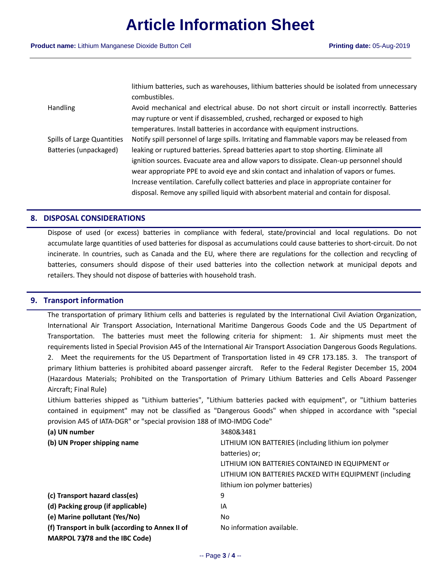|                            | lithium batteries, such as warehouses, lithium batteries should be isolated from unnecessary<br>combustibles. |
|----------------------------|---------------------------------------------------------------------------------------------------------------|
| Handling                   | Avoid mechanical and electrical abuse. Do not short circuit or install incorrectly. Batteries                 |
|                            | may rupture or vent if disassembled, crushed, recharged or exposed to high                                    |
|                            | temperatures. Install batteries in accordance with equipment instructions.                                    |
| Spills of Large Quantities | Notify spill personnel of large spills. Irritating and flammable vapors may be released from                  |
| Batteries (unpackaged)     | leaking or ruptured batteries. Spread batteries apart to stop shorting. Eliminate all                         |
|                            | ignition sources. Evacuate area and allow vapors to dissipate. Clean-up personnel should                      |
|                            | wear appropriate PPE to avoid eye and skin contact and inhalation of vapors or fumes.                         |
|                            | Increase ventilation. Carefully collect batteries and place in appropriate container for                      |
|                            | disposal. Remove any spilled liquid with absorbent material and contain for disposal.                         |

## **8. DISPOSAL CONSIDERATIONS**

Dispose of used (or excess) batteries in compliance with federal, state/provincial and local regulations. Do not accumulate large quantities of used batteries for disposal as accumulations could cause batteries to short-circuit. Do not incinerate. In countries, such as Canada and the EU, where there are regulations for the collection and recycling of batteries, consumers should dispose of their used batteries into the collection network at municipal depots and retailers. They should not dispose of batteries with household trash.

## **9. Transport information**

The transportation of primary lithium cells and batteries is regulated by the International Civil Aviation Organization, International Air Transport Association, International Maritime Dangerous Goods Code and the US Department of Transportation. The batteries must meet the following criteria for shipment: 1. Air shipments must meet the requirements listed in Special Provision A45 of the International Air Transport Association Dangerous Goods Regulations. 2. Meet the requirements for the US Department of Transportation listed in 49 CFR 173.185. 3. The transport of primary lithium batteries is prohibited aboard passenger aircraft. Refer to the Federal Register December 15, 2004 (Hazardous Materials; Prohibited on the Transportation of Primary Lithium Batteries and Cells Aboard Passenger Aircraft; Final Rule)

Lithium batteries shipped as "Lithium batteries", "Lithium batteries packed with equipment", or "Lithium batteries contained in equipment" may not be classified as "Dangerous Goods" when shipped in accordance with "special provision A45 of IATA-DGR" or "special provision 188 of IMO-IMDG Code"

| (a) UN number                                   | 3480&3481                                              |
|-------------------------------------------------|--------------------------------------------------------|
| (b) UN Proper shipping name                     | LITHIUM ION BATTERIES (including lithium ion polymer   |
|                                                 | batteries) or;                                         |
|                                                 | LITHIUM ION BATTERIES CONTAINED IN EQUIPMENT or        |
|                                                 | LITHIUM ION BATTERIES PACKED WITH EQUIPMENT (including |
|                                                 | lithium ion polymer batteries)                         |
| (c) Transport hazard class(es)                  | 9                                                      |
| (d) Packing group (if applicable)               | ΙA                                                     |
| (e) Marine pollutant (Yes/No)                   | No.                                                    |
| (f) Transport in bulk (according to Annex II of | No information available.                              |
| MARPOL 73/78 and the IBC Code)                  |                                                        |